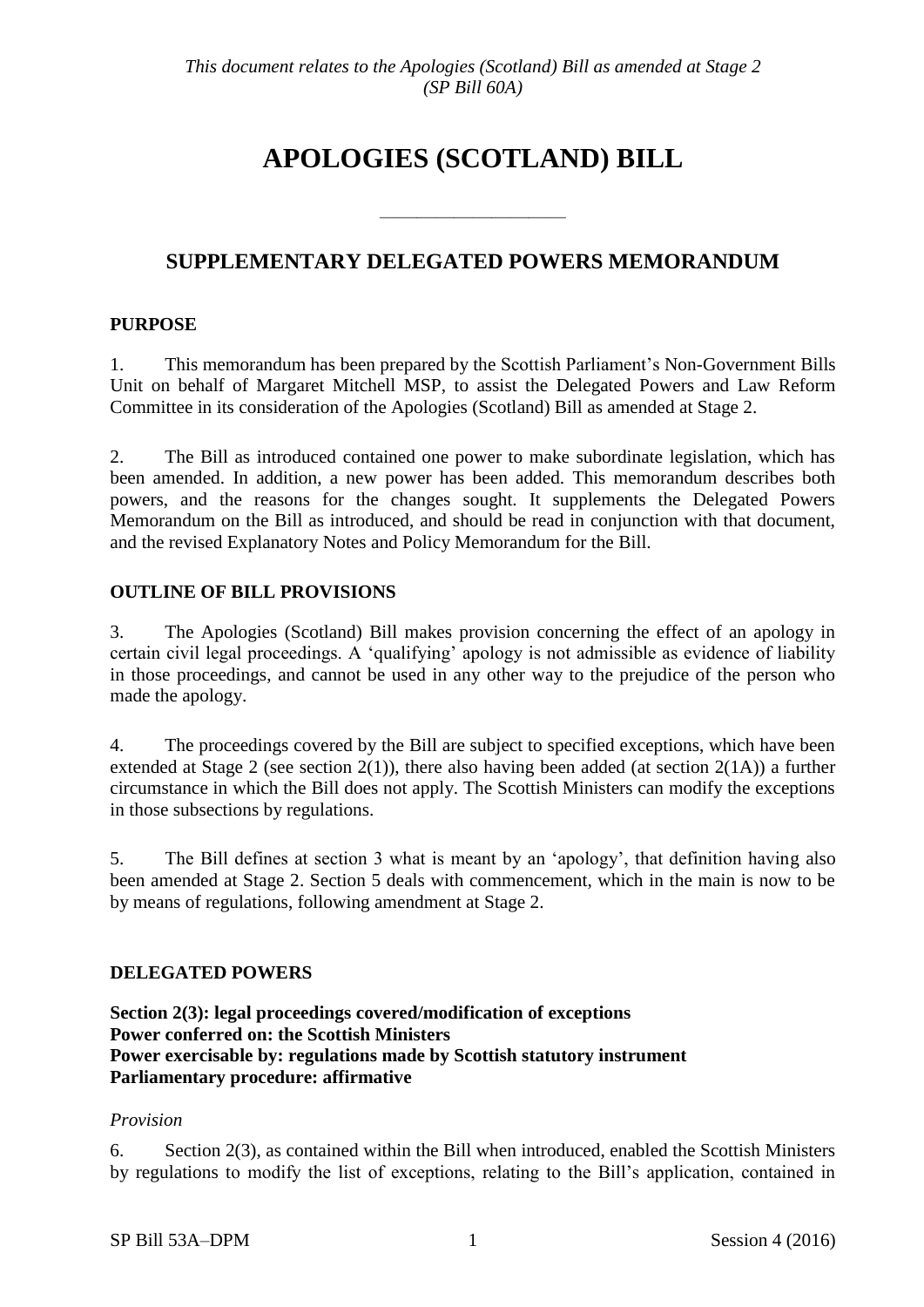# **APOLOGIES (SCOTLAND) BILL**

# **SUPPLEMENTARY DELEGATED POWERS MEMORANDUM**

——————————

### **PURPOSE**

1. This memorandum has been prepared by the Scottish Parliament's Non-Government Bills Unit on behalf of Margaret Mitchell MSP, to assist the Delegated Powers and Law Reform Committee in its consideration of the Apologies (Scotland) Bill as amended at Stage 2.

2. The Bill as introduced contained one power to make subordinate legislation, which has been amended. In addition, a new power has been added. This memorandum describes both powers, and the reasons for the changes sought. It supplements the Delegated Powers Memorandum on the Bill as introduced, and should be read in conjunction with that document, and the revised Explanatory Notes and Policy Memorandum for the Bill.

# **OUTLINE OF BILL PROVISIONS**

3. The Apologies (Scotland) Bill makes provision concerning the effect of an apology in certain civil legal proceedings. A 'qualifying' apology is not admissible as evidence of liability in those proceedings, and cannot be used in any other way to the prejudice of the person who made the apology.

4. The proceedings covered by the Bill are subject to specified exceptions, which have been extended at Stage 2 (see section 2(1)), there also having been added (at section 2(1A)) a further circumstance in which the Bill does not apply. The Scottish Ministers can modify the exceptions in those subsections by regulations.

5. The Bill defines at section 3 what is meant by an 'apology', that definition having also been amended at Stage 2. Section 5 deals with commencement, which in the main is now to be by means of regulations, following amendment at Stage 2.

# **DELEGATED POWERS**

**Section 2(3): legal proceedings covered/modification of exceptions Power conferred on: the Scottish Ministers Power exercisable by: regulations made by Scottish statutory instrument Parliamentary procedure: affirmative** 

#### *Provision*

6. Section 2(3), as contained within the Bill when introduced, enabled the Scottish Ministers by regulations to modify the list of exceptions, relating to the Bill's application, contained in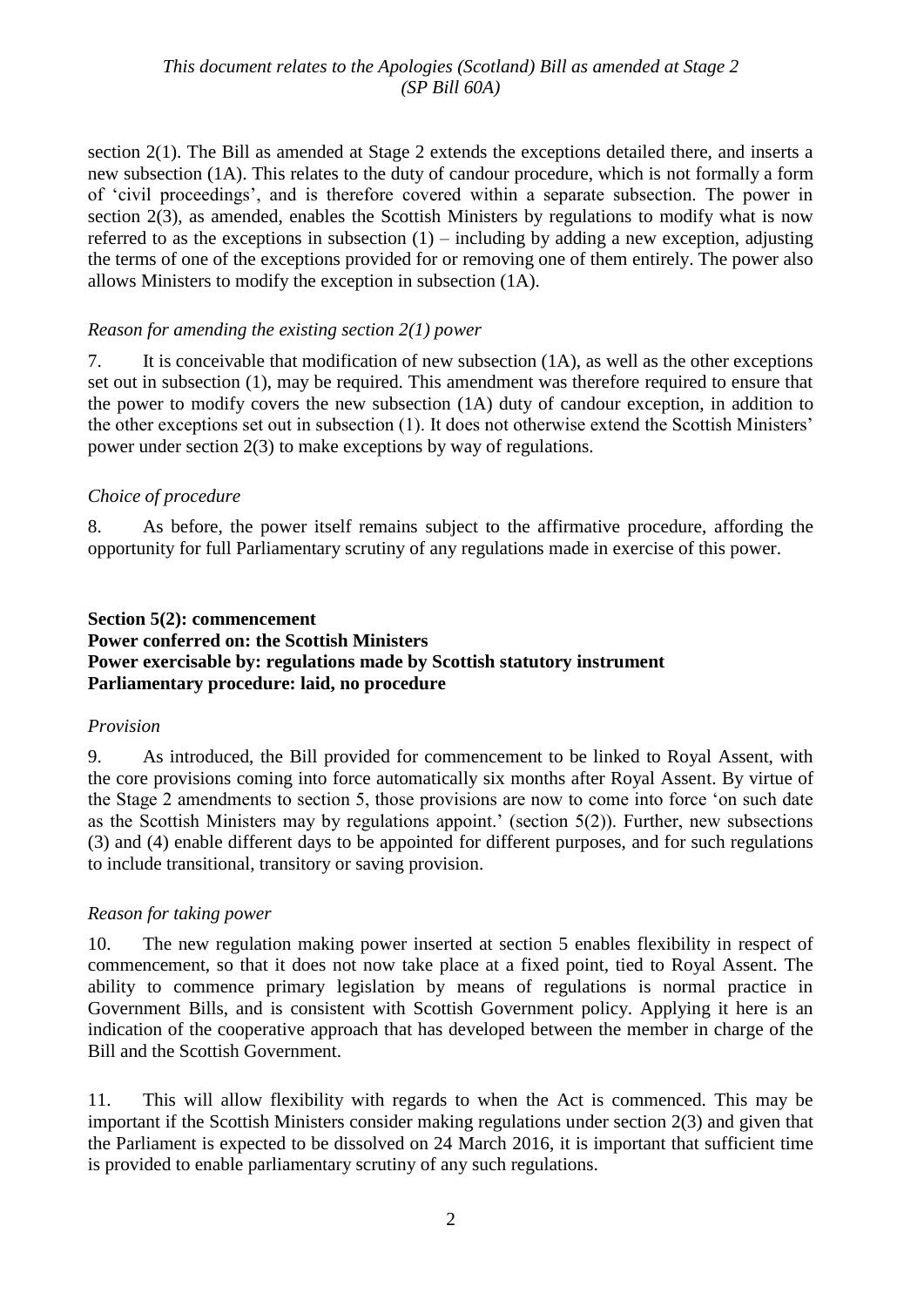# *This document relates to the Apologies (Scotland) Bill as amended at Stage 2 (SP Bill 60A)*

section 2(1). The Bill as amended at Stage 2 extends the exceptions detailed there, and inserts a new subsection (1A). This relates to the duty of candour procedure, which is not formally a form of 'civil proceedings', and is therefore covered within a separate subsection. The power in section 2(3), as amended, enables the Scottish Ministers by regulations to modify what is now referred to as the exceptions in subsection  $(1)$  – including by adding a new exception, adjusting the terms of one of the exceptions provided for or removing one of them entirely. The power also allows Ministers to modify the exception in subsection (1A).

#### *Reason for amending the existing section 2(1) power*

7. It is conceivable that modification of new subsection (1A), as well as the other exceptions set out in subsection (1), may be required. This amendment was therefore required to ensure that the power to modify covers the new subsection (1A) duty of candour exception, in addition to the other exceptions set out in subsection (1). It does not otherwise extend the Scottish Ministers' power under section 2(3) to make exceptions by way of regulations.

#### *Choice of procedure*

8. As before, the power itself remains subject to the affirmative procedure, affording the opportunity for full Parliamentary scrutiny of any regulations made in exercise of this power.

# **Section 5(2): commencement Power conferred on: the Scottish Ministers Power exercisable by: regulations made by Scottish statutory instrument Parliamentary procedure: laid, no procedure**

#### *Provision*

9. As introduced, the Bill provided for commencement to be linked to Royal Assent, with the core provisions coming into force automatically six months after Royal Assent. By virtue of the Stage 2 amendments to section 5, those provisions are now to come into force 'on such date as the Scottish Ministers may by regulations appoint.' (section 5(2)). Further, new subsections (3) and (4) enable different days to be appointed for different purposes, and for such regulations to include transitional, transitory or saving provision.

#### *Reason for taking power*

10. The new regulation making power inserted at section 5 enables flexibility in respect of commencement, so that it does not now take place at a fixed point, tied to Royal Assent. The ability to commence primary legislation by means of regulations is normal practice in Government Bills, and is consistent with Scottish Government policy. Applying it here is an indication of the cooperative approach that has developed between the member in charge of the Bill and the Scottish Government.

11. This will allow flexibility with regards to when the Act is commenced. This may be important if the Scottish Ministers consider making regulations under section 2(3) and given that the Parliament is expected to be dissolved on 24 March 2016, it is important that sufficient time is provided to enable parliamentary scrutiny of any such regulations.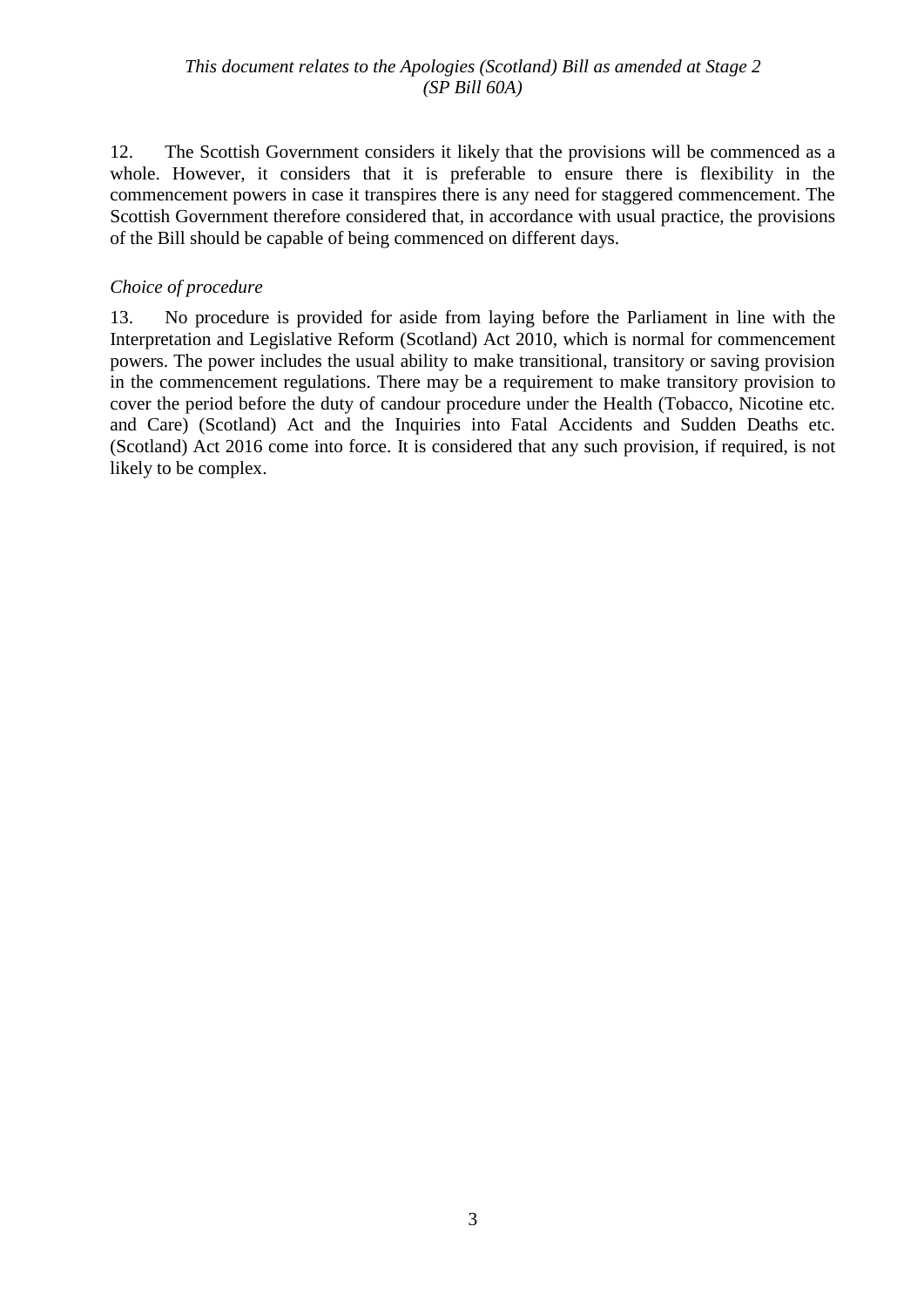12. The Scottish Government considers it likely that the provisions will be commenced as a whole. However, it considers that it is preferable to ensure there is flexibility in the commencement powers in case it transpires there is any need for staggered commencement. The Scottish Government therefore considered that, in accordance with usual practice, the provisions of the Bill should be capable of being commenced on different days.

# *Choice of procedure*

13. No procedure is provided for aside from laying before the Parliament in line with the Interpretation and Legislative Reform (Scotland) Act 2010, which is normal for commencement powers. The power includes the usual ability to make transitional, transitory or saving provision in the commencement regulations. There may be a requirement to make transitory provision to cover the period before the duty of candour procedure under the Health (Tobacco, Nicotine etc. and Care) (Scotland) Act and the Inquiries into Fatal Accidents and Sudden Deaths etc. (Scotland) Act 2016 come into force. It is considered that any such provision, if required, is not likely to be complex.